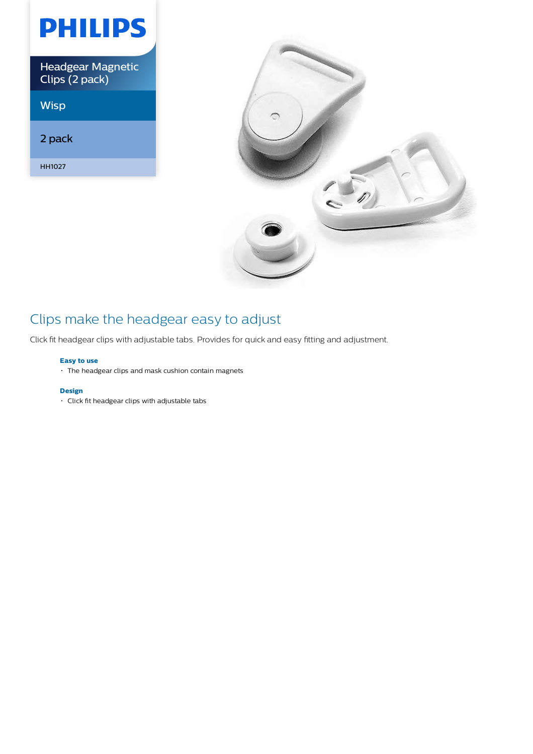| PHILIPS                                    |
|--------------------------------------------|
| <b>Headgear Magnetic</b><br>Clips (2 pack) |
| <b>Wisp</b>                                |
| 2 pack                                     |
| HH1027                                     |



## Clips make the headgear easy to adjust

Click fit headgear clips with adjustable tabs. Provides for quick and easy fitting and adjustment.

## **Easy to use**

The headgear clips and mask cushion contain magnets

## **Design**

Click fit headgear clips with adjustable tabs